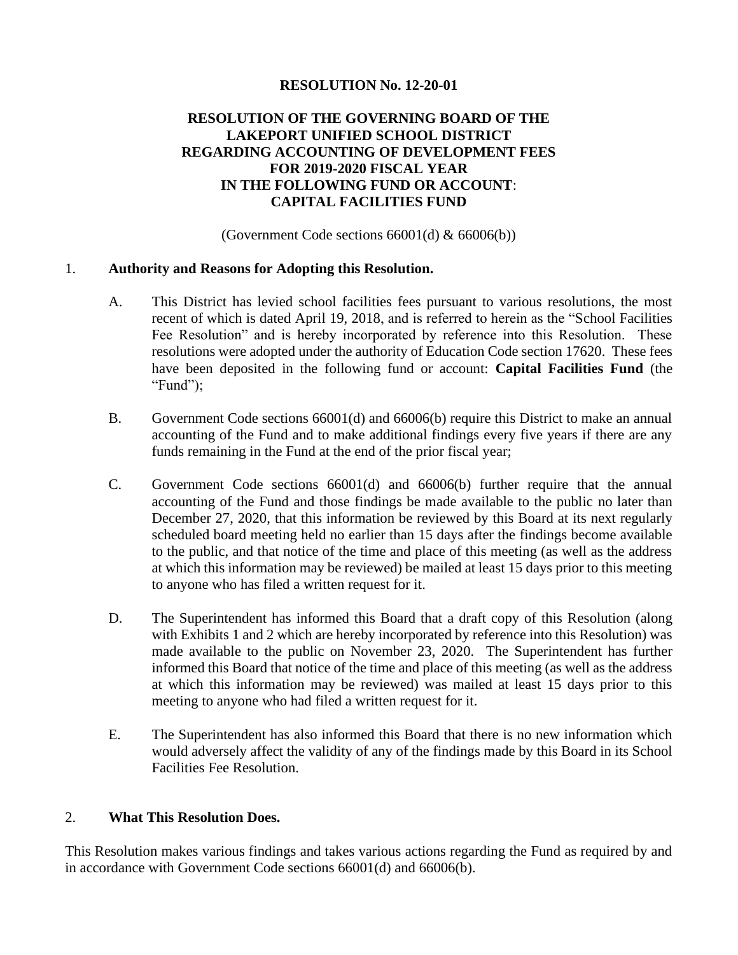### **RESOLUTION No. 12-20-01**

## **RESOLUTION OF THE GOVERNING BOARD OF THE LAKEPORT UNIFIED SCHOOL DISTRICT REGARDING ACCOUNTING OF DEVELOPMENT FEES FOR 2019-2020 FISCAL YEAR IN THE FOLLOWING FUND OR ACCOUNT**: **CAPITAL FACILITIES FUND**

(Government Code sections  $66001(d)$  &  $66006(b)$ )

### 1. **Authority and Reasons for Adopting this Resolution.**

- A. This District has levied school facilities fees pursuant to various resolutions, the most recent of which is dated April 19, 2018, and is referred to herein as the "School Facilities Fee Resolution" and is hereby incorporated by reference into this Resolution. These resolutions were adopted under the authority of Education Code section 17620. These fees have been deposited in the following fund or account: **Capital Facilities Fund** (the "Fund");
- B. Government Code sections 66001(d) and 66006(b) require this District to make an annual accounting of the Fund and to make additional findings every five years if there are any funds remaining in the Fund at the end of the prior fiscal year;
- C. Government Code sections 66001(d) and 66006(b) further require that the annual accounting of the Fund and those findings be made available to the public no later than December 27, 2020, that this information be reviewed by this Board at its next regularly scheduled board meeting held no earlier than 15 days after the findings become available to the public, and that notice of the time and place of this meeting (as well as the address at which this information may be reviewed) be mailed at least 15 days prior to this meeting to anyone who has filed a written request for it.
- D. The Superintendent has informed this Board that a draft copy of this Resolution (along with Exhibits 1 and 2 which are hereby incorporated by reference into this Resolution) was made available to the public on November 23, 2020. The Superintendent has further informed this Board that notice of the time and place of this meeting (as well as the address at which this information may be reviewed) was mailed at least 15 days prior to this meeting to anyone who had filed a written request for it.
- E. The Superintendent has also informed this Board that there is no new information which would adversely affect the validity of any of the findings made by this Board in its School Facilities Fee Resolution.

### 2. **What This Resolution Does.**

This Resolution makes various findings and takes various actions regarding the Fund as required by and in accordance with Government Code sections 66001(d) and 66006(b).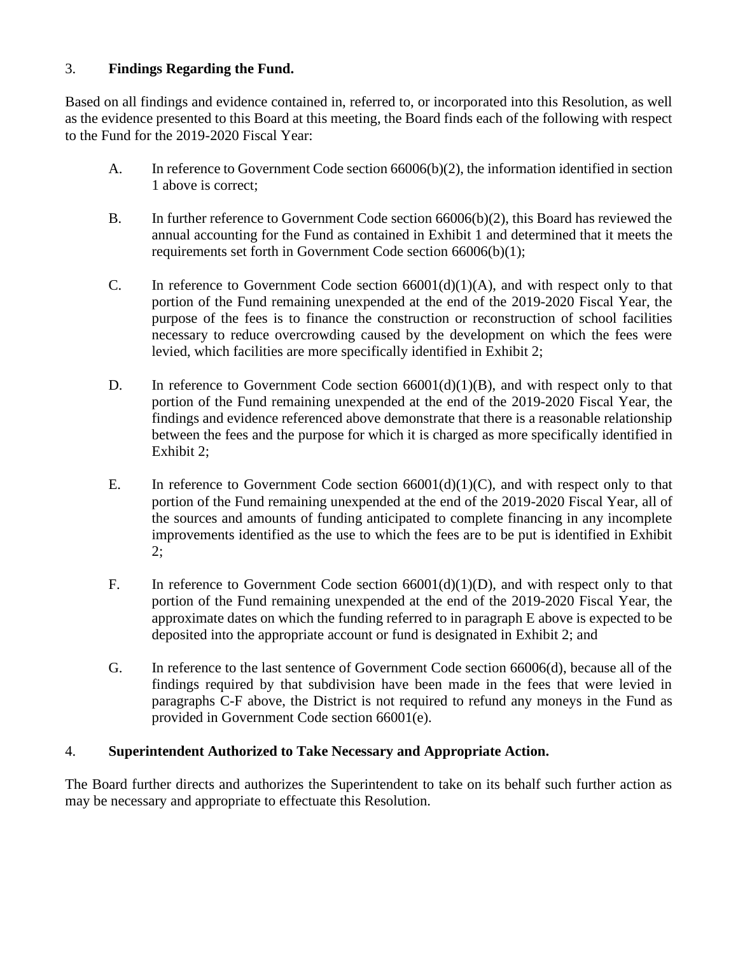# 3. **Findings Regarding the Fund.**

Based on all findings and evidence contained in, referred to, or incorporated into this Resolution, as well as the evidence presented to this Board at this meeting, the Board finds each of the following with respect to the Fund for the 2019-2020 Fiscal Year:

- A. In reference to Government Code section 66006(b)(2), the information identified in section 1 above is correct;
- B. In further reference to Government Code section 66006(b)(2), this Board has reviewed the annual accounting for the Fund as contained in Exhibit 1 and determined that it meets the requirements set forth in Government Code section 66006(b)(1);
- C. In reference to Government Code section  $66001(d)(1)(A)$ , and with respect only to that portion of the Fund remaining unexpended at the end of the 2019-2020 Fiscal Year, the purpose of the fees is to finance the construction or reconstruction of school facilities necessary to reduce overcrowding caused by the development on which the fees were levied, which facilities are more specifically identified in Exhibit 2;
- D. In reference to Government Code section  $66001(d)(1)(B)$ , and with respect only to that portion of the Fund remaining unexpended at the end of the 2019-2020 Fiscal Year, the findings and evidence referenced above demonstrate that there is a reasonable relationship between the fees and the purpose for which it is charged as more specifically identified in Exhibit 2;
- E. In reference to Government Code section  $66001(d)(1)(C)$ , and with respect only to that portion of the Fund remaining unexpended at the end of the 2019-2020 Fiscal Year, all of the sources and amounts of funding anticipated to complete financing in any incomplete improvements identified as the use to which the fees are to be put is identified in Exhibit  $2$ ;
- F. In reference to Government Code section  $66001(d)(1)(D)$ , and with respect only to that portion of the Fund remaining unexpended at the end of the 2019-2020 Fiscal Year, the approximate dates on which the funding referred to in paragraph E above is expected to be deposited into the appropriate account or fund is designated in Exhibit 2; and
- G. In reference to the last sentence of Government Code section 66006(d), because all of the findings required by that subdivision have been made in the fees that were levied in paragraphs C-F above, the District is not required to refund any moneys in the Fund as provided in Government Code section 66001(e).

# 4. **Superintendent Authorized to Take Necessary and Appropriate Action.**

The Board further directs and authorizes the Superintendent to take on its behalf such further action as may be necessary and appropriate to effectuate this Resolution.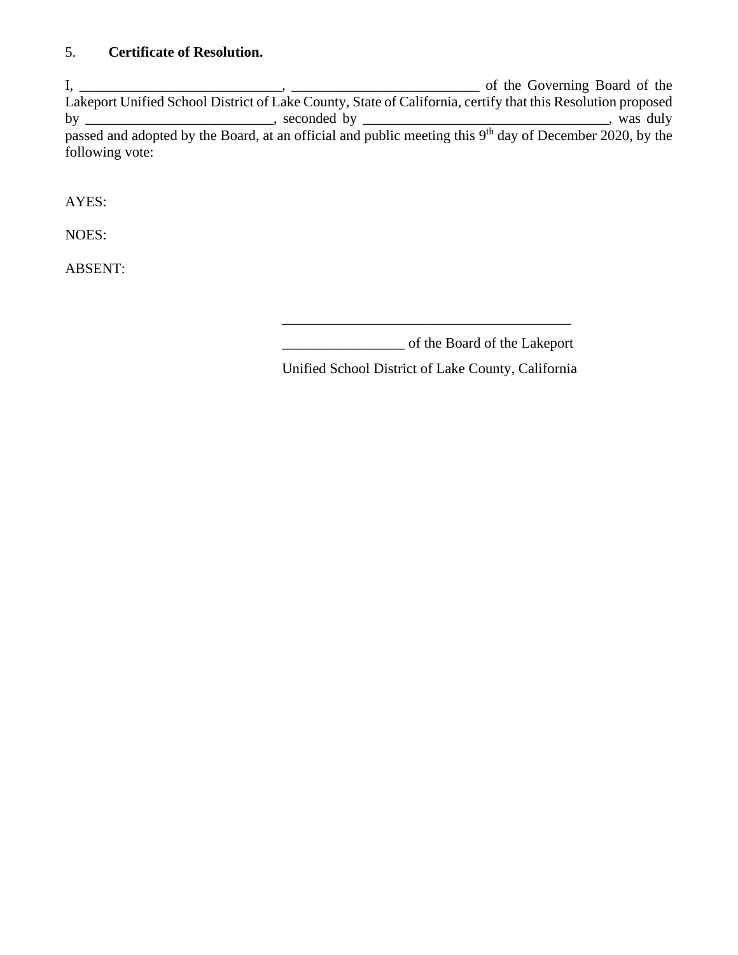# 5. **Certificate of Resolution.**

I, \_\_\_\_\_\_\_\_\_\_\_\_\_\_\_\_\_\_\_\_\_\_\_\_\_\_\_\_, \_\_\_\_\_\_\_\_\_\_\_\_\_\_\_\_\_\_\_\_\_\_\_\_\_\_ of the Governing Board of the Lakeport Unified School District of Lake County, State of California, certify that this Resolution proposed by \_\_\_\_\_\_\_\_\_\_\_\_\_\_\_\_\_\_\_\_\_\_\_\_\_\_, seconded by \_\_\_\_\_\_\_\_\_\_\_\_\_\_\_\_\_\_\_\_\_\_\_\_\_\_\_\_\_\_\_\_\_\_, was duly passed and adopted by the Board, at an official and public meeting this 9<sup>th</sup> day of December 2020, by the following vote:

AYES:

NOES:

ABSENT:

\_\_\_\_\_\_\_\_\_\_\_\_\_\_\_\_\_ of the Board of the Lakeport

Unified School District of Lake County, California

\_\_\_\_\_\_\_\_\_\_\_\_\_\_\_\_\_\_\_\_\_\_\_\_\_\_\_\_\_\_\_\_\_\_\_\_\_\_\_\_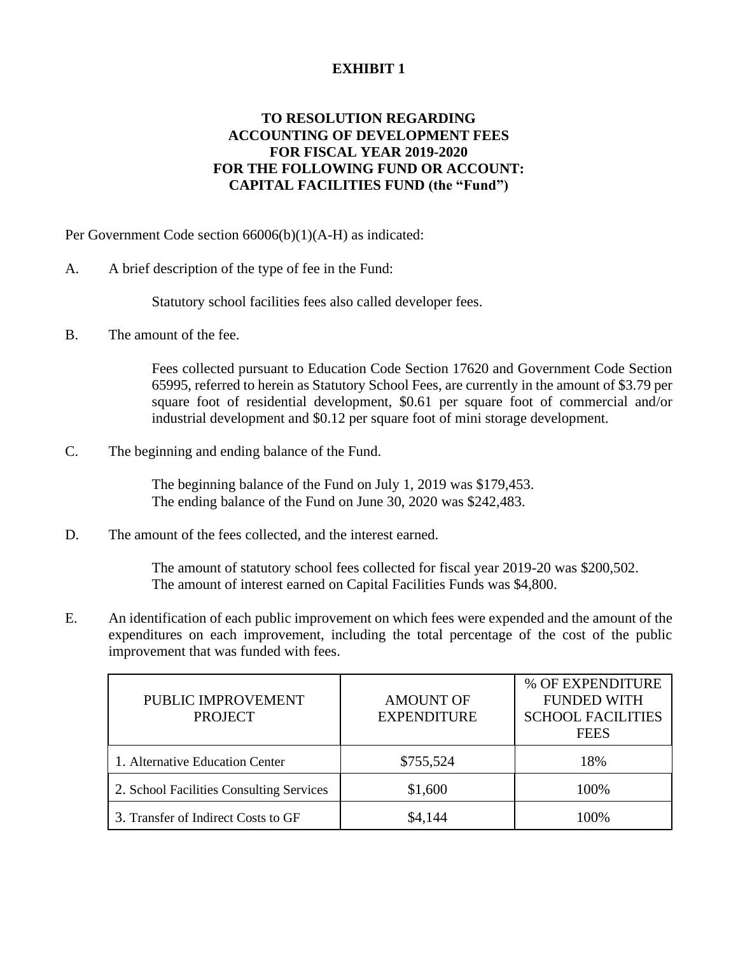# **EXHIBIT 1**

# **TO RESOLUTION REGARDING ACCOUNTING OF DEVELOPMENT FEES FOR FISCAL YEAR 2019-2020 FOR THE FOLLOWING FUND OR ACCOUNT: CAPITAL FACILITIES FUND (the "Fund")**

Per Government Code section 66006(b)(1)(A-H) as indicated:

A. A brief description of the type of fee in the Fund:

Statutory school facilities fees also called developer fees.

B. The amount of the fee.

Fees collected pursuant to Education Code Section 17620 and Government Code Section 65995, referred to herein as Statutory School Fees, are currently in the amount of \$3.79 per square foot of residential development, \$0.61 per square foot of commercial and/or industrial development and \$0.12 per square foot of mini storage development.

C. The beginning and ending balance of the Fund.

The beginning balance of the Fund on July 1, 2019 was \$179,453. The ending balance of the Fund on June 30, 2020 was \$242,483.

D. The amount of the fees collected, and the interest earned.

The amount of statutory school fees collected for fiscal year 2019-20 was \$200,502. The amount of interest earned on Capital Facilities Funds was \$4,800.

E. An identification of each public improvement on which fees were expended and the amount of the expenditures on each improvement, including the total percentage of the cost of the public improvement that was funded with fees.

| PUBLIC IMPROVEMENT<br><b>PROJECT</b>     | <b>AMOUNT OF</b><br><b>EXPENDITURE</b> | % OF EXPENDITURE<br><b>FUNDED WITH</b><br><b>SCHOOL FACILITIES</b><br><b>FEES</b> |
|------------------------------------------|----------------------------------------|-----------------------------------------------------------------------------------|
| 1. Alternative Education Center          | \$755,524                              | 18%                                                                               |
| 2. School Facilities Consulting Services | \$1,600                                | 100%                                                                              |
| 3. Transfer of Indirect Costs to GF      | \$4,144                                | $(10\%)$                                                                          |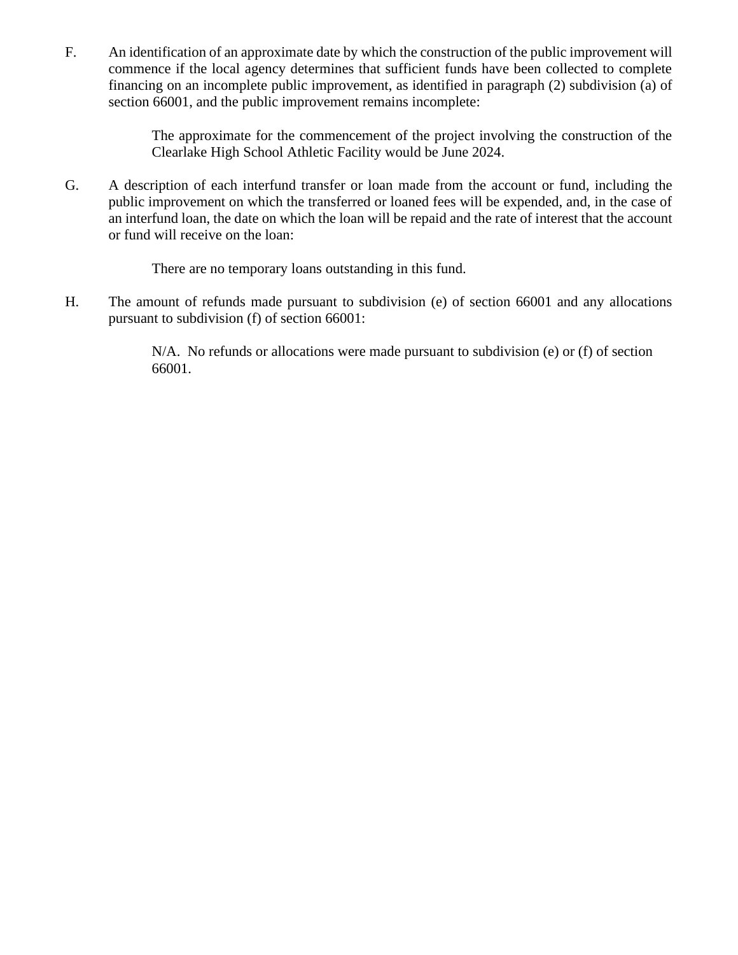F. An identification of an approximate date by which the construction of the public improvement will commence if the local agency determines that sufficient funds have been collected to complete financing on an incomplete public improvement, as identified in paragraph (2) subdivision (a) of section 66001, and the public improvement remains incomplete:

> The approximate for the commencement of the project involving the construction of the Clearlake High School Athletic Facility would be June 2024.

G. A description of each interfund transfer or loan made from the account or fund, including the public improvement on which the transferred or loaned fees will be expended, and, in the case of an interfund loan, the date on which the loan will be repaid and the rate of interest that the account or fund will receive on the loan:

There are no temporary loans outstanding in this fund.

H. The amount of refunds made pursuant to subdivision (e) of section 66001 and any allocations pursuant to subdivision (f) of section 66001:

> N/A. No refunds or allocations were made pursuant to subdivision (e) or (f) of section 66001.